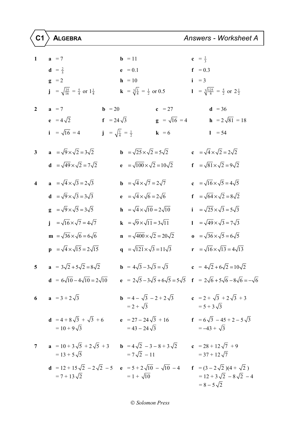| $\mathbf{1}$            | $a = 7$                                                    | $b = 11$                                                                                                                                                                | $c = \frac{1}{3}$                                             |
|-------------------------|------------------------------------------------------------|-------------------------------------------------------------------------------------------------------------------------------------------------------------------------|---------------------------------------------------------------|
|                         | $d = \frac{2}{5}$                                          | $e = 0.1$                                                                                                                                                               | $f = 0.3$                                                     |
|                         | $g = 2$                                                    | $h = 10$                                                                                                                                                                | $i = 3$                                                       |
|                         | $j = \sqrt{\frac{25}{16}} = \frac{5}{4}$ or $1\frac{1}{4}$ | <b>k</b> = $\sqrt[3]{\frac{1}{8}}$ = $\frac{1}{2}$ or 0.5                                                                                                               | $1 = \sqrt[3]{\frac{125}{8}} = \frac{5}{2}$ or $2\frac{1}{2}$ |
| $\mathbf{2}$            | $a = 7$<br>$b = 20$                                        | $c = 27$                                                                                                                                                                | $d = 36$                                                      |
|                         | $e = 4\sqrt{2}$                                            | $g = \sqrt{16} = 4$<br>$f = 24\sqrt{3}$                                                                                                                                 | <b>h</b> = $2\sqrt{81}$ = 18                                  |
|                         | $i = \sqrt{16} = 4$                                        | $j = \sqrt{\frac{1}{4}} = \frac{1}{2}$<br>$k = 6$                                                                                                                       | $1 = 54$                                                      |
| $\mathbf{3}$            | $\mathbf{a} = \sqrt{9} \times \sqrt{2} = 3\sqrt{2}$        | <b>b</b> = $\sqrt{25} \times \sqrt{2} = 5\sqrt{2}$                                                                                                                      | $c = \sqrt{4} \times \sqrt{2} = 2\sqrt{2}$                    |
|                         | $d = \sqrt{49} \times \sqrt{2} = 7\sqrt{2}$                | $e = \sqrt{100} \times \sqrt{2} = 10\sqrt{2}$                                                                                                                           | $f = \sqrt{81} \times \sqrt{2} = 9\sqrt{2}$                   |
| $\overline{\mathbf{4}}$ | $\mathbf{a} = \sqrt{4} \times \sqrt{3} = 2\sqrt{3}$        | <b>b</b> = $\sqrt{4} \times \sqrt{7} = 2\sqrt{7}$                                                                                                                       | $\mathbf{c} = \sqrt{16} \times \sqrt{5} = 4\sqrt{5}$          |
|                         | $d = \sqrt{9} \times \sqrt{3} = 3\sqrt{3}$                 | $\mathbf{e} = \sqrt{4} \times \sqrt{6} = 2\sqrt{6}$                                                                                                                     | $f = \sqrt{64} \times \sqrt{2} = 8\sqrt{2}$                   |
|                         | $\mathbf{g} = \sqrt{9} \times \sqrt{5} = 3\sqrt{5}$        | $\mathbf{h} = \sqrt{4} \times \sqrt{10} = 2\sqrt{10}$                                                                                                                   | $i = \sqrt{25} \times \sqrt{3} = 5\sqrt{3}$                   |
|                         | $\mathbf{j} = \sqrt{16} \times \sqrt{7} = 4\sqrt{7}$       | $\mathbf{k} = \sqrt{9} \times \sqrt{11} = 3\sqrt{11}$                                                                                                                   | $1 = \sqrt{49} \times \sqrt{3} = 7\sqrt{3}$                   |
|                         | $m = \sqrt{36} \times \sqrt{6} = 6\sqrt{6}$                | $\mathbf{n} = \sqrt{400} \times \sqrt{2} = 20\sqrt{2}$                                                                                                                  | <b>o</b> = $\sqrt{36} \times \sqrt{5} = 6\sqrt{5}$            |
|                         | $\mathbf{p} = \sqrt{4} \times \sqrt{15} = 2\sqrt{15}$      | q = $\sqrt{121} \times \sqrt{3} = 11\sqrt{3}$                                                                                                                           | $\mathbf{r} = \sqrt{16} \times \sqrt{13} = 4\sqrt{13}$        |
| 5                       | $a = 3\sqrt{2} + 5\sqrt{2} = 8\sqrt{2}$                    | <b>b</b> = $4\sqrt{3} - 3\sqrt{3} = \sqrt{3}$                                                                                                                           | $c = 4\sqrt{2} + 6\sqrt{2} = 10\sqrt{2}$                      |
|                         |                                                            | <b>d</b> = $6\sqrt{10} - 4\sqrt{10} = 2\sqrt{10}$ <b>e</b> = $2\sqrt{5} - 3\sqrt{5} + 6\sqrt{5} = 5\sqrt{5}$ <b>f</b> = $2\sqrt{6} + 5\sqrt{6} - 8\sqrt{6} = -\sqrt{6}$ |                                                               |
|                         | 6 $a = 3 + 2\sqrt{3}$                                      | <b>b</b> = 4 - $\sqrt{3}$ - 2 + 2 $\sqrt{3}$ <b>c</b> = 2 + $\sqrt{3}$ + 2 $\sqrt{3}$ + 3<br>$= 2 + \sqrt{3}$                                                           | $= 5 + 3\sqrt{3}$                                             |
|                         | $= 10 + 9\sqrt{3}$                                         | <b>d</b> = 4 + 8 $\sqrt{3}$ + $\sqrt{3}$ + 6 <b>e</b> = 27 - 24 $\sqrt{3}$ + 16 <b>f</b> = 6 $\sqrt{3}$ - 45 + 2 - 5 $\sqrt{3}$<br>$= 43 - 24\sqrt{3}$                  | $=-43 + \sqrt{3}$                                             |
| $\overline{7}$          | $= 13 + 5\sqrt{5}$                                         | <b>a</b> = 10 + 3 $\sqrt{5}$ + 2 $\sqrt{5}$ + 3<br><b>b</b> = 4 $\sqrt{2}$ - 3 - 8 + 3 $\sqrt{2}$<br><b>c</b> = 28 + 12 $\sqrt{7}$ + 9<br>$= 7\sqrt{2} - 11$            | $=$ 37 + 12 $\sqrt{7}$                                        |
|                         | $= 7 + 13\sqrt{2}$                                         | <b>d</b> = 12 + 15 $\sqrt{2}$ - 2 $\sqrt{2}$ - 5 <b>e</b> = 5 + 2 $\sqrt{10}$ - $\sqrt{10}$ - 4 <b>f</b> = (3 - 2 $\sqrt{2}$ )(4 + $\sqrt{2}$ )<br>$= 1 + \sqrt{10}$    | $= 12 + 3\sqrt{2} - 8\sqrt{2} - 4$<br>$= 8 - 5\sqrt{2}$       |

## *Solomon Press*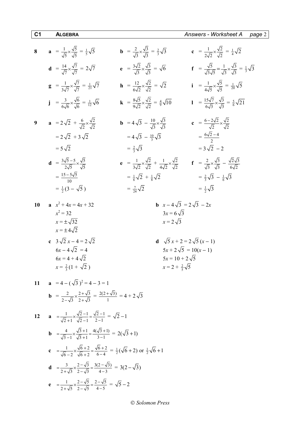| 8  | $\mathbf{a} = \frac{1}{\sqrt{5}} \times \frac{\sqrt{5}}{\sqrt{5}} = \frac{1}{5} \sqrt{5}$                          | <b>b</b> = $\frac{2}{\sqrt{3}} \times \frac{\sqrt{3}}{\sqrt{3}} = \frac{2}{3} \sqrt{3}$                                    | c = $\frac{1}{2\sqrt{2}} \times \frac{\sqrt{2}}{\sqrt{2}} = \frac{1}{4}\sqrt{2}$                                          |
|----|--------------------------------------------------------------------------------------------------------------------|----------------------------------------------------------------------------------------------------------------------------|---------------------------------------------------------------------------------------------------------------------------|
|    | <b>d</b> = $\frac{14}{\sqrt{7}} \times \frac{\sqrt{7}}{\sqrt{7}} = 2\sqrt{7}$                                      | $e = \frac{3\sqrt{2}}{\sqrt{3}} \times \frac{\sqrt{3}}{\sqrt{3}} = \sqrt{6}$                                               | ${\bf f} = \frac{\sqrt{5}}{\sqrt{3}\sqrt{5}} = \frac{1}{\sqrt{3}} \times \frac{\sqrt{3}}{\sqrt{3}} = \frac{1}{3}\sqrt{3}$ |
|    | $\mathbf{g} = \frac{1}{3\sqrt{7}} \times \frac{\sqrt{7}}{\sqrt{7}} = \frac{1}{21}\sqrt{7}$                         | <b>h</b> = $\frac{12}{6\sqrt{2}} \times \frac{\sqrt{2}}{\sqrt{2}} = \sqrt{2}$                                              | $i = \frac{1}{4\sqrt{5}} \times \frac{\sqrt{5}}{\sqrt{5}} = \frac{1}{20}\sqrt{5}$                                         |
|    | $j = \frac{3}{6\sqrt{6}} \times \frac{\sqrt{6}}{\sqrt{6}} = \frac{1}{12}\sqrt{6}$                                  | <b>k</b> = $\frac{8\sqrt{5}}{9\sqrt{2}} \times \frac{\sqrt{2}}{\sqrt{2}} = \frac{4}{9}\sqrt{10}$                           | $1 = \frac{15\sqrt{7}}{6\sqrt{3}} \times \frac{\sqrt{3}}{\sqrt{3}} = \frac{5}{6}\sqrt{21}$                                |
| 9  | $a = 2\sqrt{2} + \frac{6}{\sqrt{2}} \times \frac{\sqrt{2}}{\sqrt{2}}$                                              | <b>b</b> = $4\sqrt{3} - \frac{10}{\sqrt{2}} \times \frac{\sqrt{3}}{\sqrt{2}}$                                              | <b>c</b> = $\frac{6-2\sqrt{2}}{\sqrt{2}} \times \frac{\sqrt{2}}{\sqrt{2}}$                                                |
|    | $= 2\sqrt{2} + 3\sqrt{2}$                                                                                          | $=4\sqrt{3} - \frac{10}{3}\sqrt{3}$                                                                                        | $=\frac{6\sqrt{2}-4}{2}$                                                                                                  |
|    | $= 5\sqrt{2}$                                                                                                      | $=\frac{2}{3}\sqrt{3}$                                                                                                     | $= 3\sqrt{2} - 2$                                                                                                         |
|    | <b>d</b> = $\frac{3\sqrt{5}-5}{2\sqrt{5}} \times \frac{\sqrt{5}}{\sqrt{5}}$                                        | $\mathbf{e} = \frac{1}{3\sqrt{2}} \times \frac{\sqrt{2}}{\sqrt{2}} + \frac{1}{4\sqrt{2}} \times \frac{\sqrt{2}}{\sqrt{2}}$ | $f = \frac{2}{\sqrt{3}} \times \frac{\sqrt{3}}{\sqrt{3}} - \frac{\sqrt{2}\sqrt{3}}{6\sqrt{3}}$                            |
|    |                                                                                                                    |                                                                                                                            |                                                                                                                           |
|    | $=\frac{15-5\sqrt{5}}{10}$                                                                                         | $=\frac{1}{6}\sqrt{2}+\frac{1}{8}\sqrt{2}$                                                                                 | $=\frac{2}{3}\sqrt{3}-\frac{1}{6}\sqrt{3}$                                                                                |
|    | $=\frac{1}{2}(3-\sqrt{5})$                                                                                         | $=\frac{7}{24}\sqrt{2}$                                                                                                    | $= \frac{1}{2}\sqrt{3}$                                                                                                   |
| 10 | $x^2 + 4x = 4x + 32$                                                                                               |                                                                                                                            | <b>b</b> $x-4\sqrt{3} = 2\sqrt{3} - 2x$                                                                                   |
|    | $x^2 = 32$                                                                                                         | $3x = 6\sqrt{3}$                                                                                                           |                                                                                                                           |
|    | $x = \pm \sqrt{32}$                                                                                                | $x=2\sqrt{3}$                                                                                                              |                                                                                                                           |
|    | $x = \pm 4\sqrt{2}$                                                                                                |                                                                                                                            |                                                                                                                           |
|    | c $3\sqrt{2}x-4=2\sqrt{2}$                                                                                         |                                                                                                                            | <b>d</b> $\sqrt{5}x + 2 = 2\sqrt{5}(x-1)$                                                                                 |
|    | $6x - 4\sqrt{2} = 4$<br>$6x = 4 + 4\sqrt{2}$                                                                       | $5x = 10 + 2\sqrt{5}$                                                                                                      | $5x + 2\sqrt{5} = 10(x - 1)$                                                                                              |
|    | $x = \frac{2}{3}(1 + \sqrt{2})$                                                                                    | $x = 2 + \frac{2}{5}\sqrt{5}$                                                                                              |                                                                                                                           |
|    |                                                                                                                    |                                                                                                                            |                                                                                                                           |
| 11 | $a = 4 - (\sqrt{3})^2 = 4 - 3 = 1$                                                                                 |                                                                                                                            |                                                                                                                           |
|    | <b>b</b> = $\frac{2}{2-\sqrt{3}} \times \frac{2+\sqrt{3}}{2+\sqrt{3}} = \frac{2(2+\sqrt{3})}{1} = 4 + 2\sqrt{3}$   |                                                                                                                            |                                                                                                                           |
|    | 12 <b>a</b> $=\frac{1}{\sqrt{2}+1} \times \frac{\sqrt{2}-1}{\sqrt{2}-1} = \frac{\sqrt{2}-1}{2-1} = \sqrt{2}-1$     |                                                                                                                            |                                                                                                                           |
|    | <b>b</b> = $\frac{4}{\sqrt{3}-1} \times \frac{\sqrt{3}+1}{\sqrt{3}+1} = \frac{4(\sqrt{3}+1)}{3-1} = 2(\sqrt{3}+1)$ |                                                                                                                            |                                                                                                                           |

$$
\mathbf{c} = \frac{1}{\sqrt{6} - 2} \times \frac{\sqrt{6} + 2}{\sqrt{6} + 2} = \frac{\sqrt{6} + 2}{6 - 4} = \frac{1}{2} (\sqrt{6} + 2) \text{ or } \frac{1}{2} \sqrt{6} + 1
$$

$$
\mathbf{d} = \frac{3}{2 + \sqrt{3}} \times \frac{2 - \sqrt{3}}{2 - \sqrt{3}} = \frac{3(2 - \sqrt{3})}{4 - 3} = 3(2 - \sqrt{3})
$$

$$
e = \frac{1}{2 + \sqrt{5}} \times \frac{2 - \sqrt{5}}{2 - \sqrt{5}} = \frac{2 - \sqrt{5}}{4 - 5} = \sqrt{5} - 2
$$

*Solomon Press*